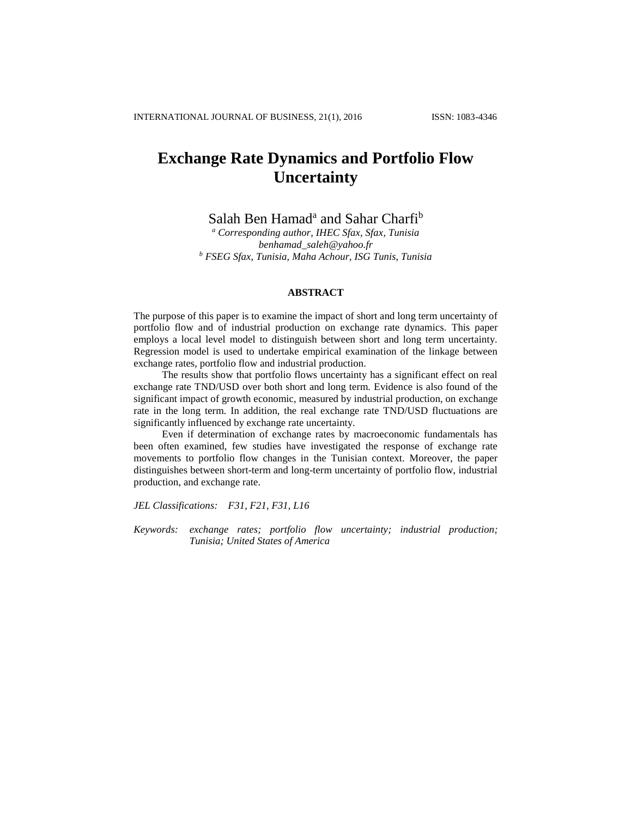# **Exchange Rate Dynamics and Portfolio Flow Uncertainty**

Salah Ben Hamad<sup>a</sup> and Sahar Charfi<sup>b</sup>

*<sup>a</sup> Corresponding author, IHEC Sfax, Sfax, Tunisia benhamad\_saleh@yahoo.fr <sup>b</sup> FSEG Sfax, Tunisia, Maha Achour, ISG Tunis, Tunisia*

## **ABSTRACT**

The purpose of this paper is to examine the impact of short and long term uncertainty of portfolio flow and of industrial production on exchange rate dynamics. This paper employs a local level model to distinguish between short and long term uncertainty. Regression model is used to undertake empirical examination of the linkage between exchange rates, portfolio flow and industrial production.

The results show that portfolio flows uncertainty has a significant effect on real exchange rate TND/USD over both short and long term. Evidence is also found of the significant impact of growth economic, measured by industrial production, on exchange rate in the long term. In addition, the real exchange rate TND/USD fluctuations are significantly influenced by exchange rate uncertainty.

Even if determination of exchange rates by macroeconomic fundamentals has been often examined, few studies have investigated the response of exchange rate movements to portfolio flow changes in the Tunisian context. Moreover, the paper distinguishes between short-term and long-term uncertainty of portfolio flow, industrial production, and exchange rate.

*JEL Classifications: F31, F21, F31, L16*

*Keywords: exchange rates; portfolio flow uncertainty; industrial production; Tunisia; United States of America*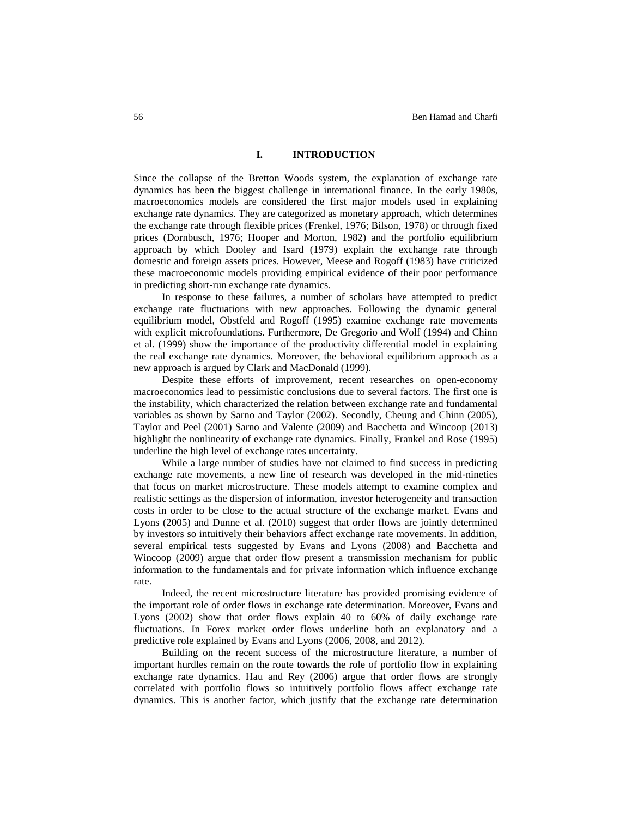# **I. INTRODUCTION**

Since the collapse of the Bretton Woods system, the explanation of exchange rate dynamics has been the biggest challenge in international finance. In the early 1980s, macroeconomics models are considered the first major models used in explaining exchange rate dynamics. They are categorized as monetary approach, which determines the exchange rate through flexible prices (Frenkel, 1976; Bilson, 1978) or through fixed prices (Dornbusch, 1976; Hooper and Morton, 1982) and the portfolio equilibrium approach by which Dooley and Isard (1979) explain the exchange rate through domestic and foreign assets prices. However, Meese and Rogoff (1983) have criticized these macroeconomic models providing empirical evidence of their poor performance in predicting short-run exchange rate dynamics.

In response to these failures, a number of scholars have attempted to predict exchange rate fluctuations with new approaches. Following the dynamic general equilibrium model, Obstfeld and Rogoff (1995) examine exchange rate movements with explicit microfoundations. Furthermore, De Gregorio and Wolf (1994) and Chinn et al. (1999) show the importance of the productivity differential model in explaining the real exchange rate dynamics. Moreover, the behavioral equilibrium approach as a new approach is argued by Clark and MacDonald (1999).

Despite these efforts of improvement, recent researches on open-economy macroeconomics lead to pessimistic conclusions due to several factors. The first one is the instability, which characterized the relation between exchange rate and fundamental variables as shown by Sarno and Taylor (2002). Secondly, Cheung and Chinn (2005), Taylor and Peel (2001) Sarno and Valente (2009) and Bacchetta and Wincoop (2013) highlight the nonlinearity of exchange rate dynamics. Finally, Frankel and Rose (1995) underline the high level of exchange rates uncertainty.

While a large number of studies have not claimed to find success in predicting exchange rate movements, a new line of research was developed in the mid-nineties that focus on market microstructure. These models attempt to examine complex and realistic settings as the dispersion of information, investor heterogeneity and transaction costs in order to be close to the actual structure of the exchange market. Evans and Lyons (2005) and Dunne et al. (2010) suggest that order flows are jointly determined by investors so intuitively their behaviors affect exchange rate movements. In addition, several empirical tests suggested by Evans and Lyons (2008) and Bacchetta and Wincoop (2009) argue that order flow present a transmission mechanism for public information to the fundamentals and for private information which influence exchange rate.

Indeed, the recent microstructure literature has provided promising evidence of the important role of order flows in exchange rate determination. Moreover, Evans and Lyons (2002) show that order flows explain 40 to 60% of daily exchange rate fluctuations. In Forex market order flows underline both an explanatory and a predictive role explained by Evans and Lyons (2006, 2008, and 2012).

Building on the recent success of the microstructure literature, a number of important hurdles remain on the route towards the role of portfolio flow in explaining exchange rate dynamics. Hau and Rey (2006) argue that order flows are strongly correlated with portfolio flows so intuitively portfolio flows affect exchange rate dynamics. This is another factor, which justify that the exchange rate determination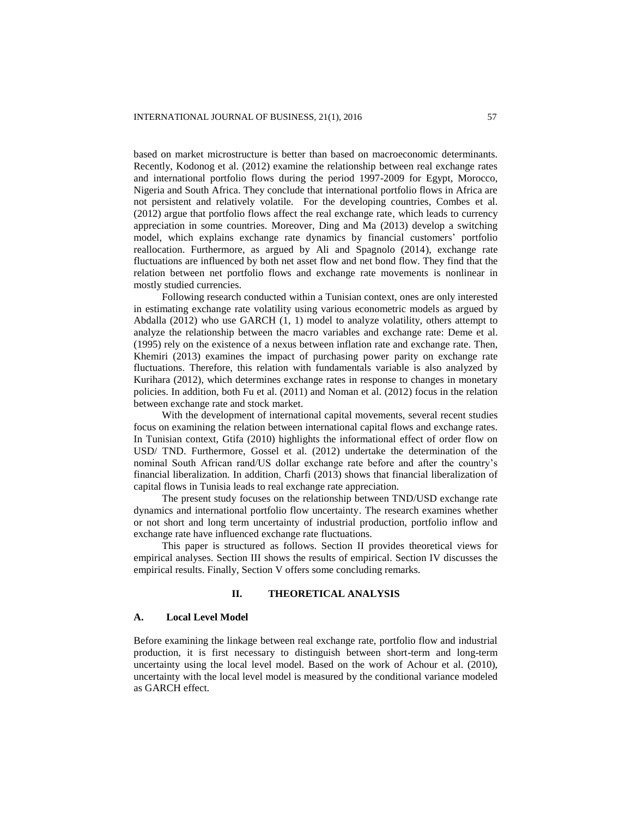based on market microstructure is better than based on macroeconomic determinants. Recently, Kodonog et al. (2012) examine the relationship between real exchange rates and international portfolio flows during the period 1997-2009 for Egypt, Morocco, Nigeria and South Africa. They conclude that international portfolio flows in Africa are not persistent and relatively volatile. For the developing countries, Combes et al. (2012) argue that portfolio flows affect the real exchange rate, which leads to currency appreciation in some countries. Moreover, Ding and Ma (2013) develop a switching model, which explains exchange rate dynamics by financial customers' portfolio reallocation. Furthermore, as argued by Ali and Spagnolo (2014), exchange rate fluctuations are influenced by both net asset flow and net bond flow. They find that the relation between net portfolio flows and exchange rate movements is nonlinear in mostly studied currencies.

Following research conducted within a Tunisian context, ones are only interested in estimating exchange rate volatility using various econometric models as argued by Abdalla (2012) who use GARCH (1, 1) model to analyze volatility, others attempt to analyze the relationship between the macro variables and exchange rate: Deme et al. (1995) rely on the existence of a nexus between inflation rate and exchange rate. Then, Khemiri (2013) examines the impact of purchasing power parity on exchange rate fluctuations. Therefore, this relation with fundamentals variable is also analyzed by Kurihara (2012), which determines exchange rates in response to changes in monetary policies. In addition, both Fu et al. (2011) and Noman et al. (2012) focus in the relation between exchange rate and stock market.

With the development of international capital movements, several recent studies focus on examining the relation between international capital flows and exchange rates. In Tunisian context, Gtifa (2010) highlights the informational effect of order flow on USD/ TND. Furthermore, Gossel et al. (2012) undertake the determination of the nominal South African rand/US dollar exchange rate before and after the country's financial liberalization. In addition, Charfi (2013) shows that financial liberalization of capital flows in Tunisia leads to real exchange rate appreciation.

The present study focuses on the relationship between TND/USD exchange rate dynamics and international portfolio flow uncertainty. The research examines whether or not short and long term uncertainty of industrial production, portfolio inflow and exchange rate have influenced exchange rate fluctuations.

This paper is structured as follows. Section II provides theoretical views for empirical analyses. Section III shows the results of empirical. Section IV discusses the empirical results. Finally, Section V offers some concluding remarks.

# **II. THEORETICAL ANALYSIS**

#### **A. Local Level Model**

Before examining the linkage between real exchange rate, portfolio flow and industrial production, it is first necessary to distinguish between short-term and long-term uncertainty using the local level model. Based on the work of Achour et al. (2010), uncertainty with the local level model is measured by the conditional variance modeled as GARCH effect.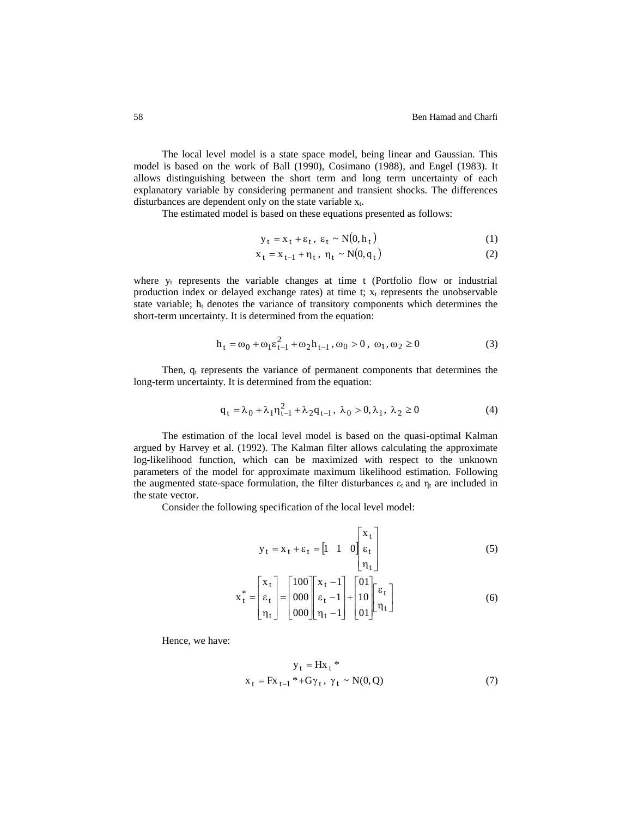The local level model is a state space model, being linear and Gaussian. This model is based on the work of Ball (1990), Cosimano (1988), and Engel (1983). It allows distinguishing between the short term and long term uncertainty of each explanatory variable by considering permanent and transient shocks. The differences disturbances are dependent only on the state variable  $x_t$ .

The estimated model is based on these equations presented as follows:

$$
y_t = x_t + \varepsilon_t, \ \varepsilon_t \sim N(0, h_t) \tag{1}
$$

$$
x_t = x_{t-1} + \eta_t, \ \eta_t \sim N(0, q_t)
$$
 (2)

where  $y_t$  represents the variable changes at time t (Portfolio flow or industrial production index or delayed exchange rates) at time t;  $x_t$  represents the unobservable state variable; h<sup>t</sup> denotes the variance of transitory components which determines the short-term uncertainty. It is determined from the equation:

$$
h_t = \omega_0 + \omega_1 \varepsilon_{t-1}^2 + \omega_2 h_{t-1}, \omega_0 > 0, \omega_1, \omega_2 \ge 0
$$
 (3)

Then,  $q_t$  represents the variance of permanent components that determines the long-term uncertainty. It is determined from the equation:

$$
q_{t} = \lambda_{0} + \lambda_{1} \eta_{t-1}^{2} + \lambda_{2} q_{t-1}, \ \lambda_{0} > 0, \lambda_{1}, \ \lambda_{2} \ge 0
$$
 (4)

The estimation of the local level model is based on the quasi-optimal Kalman argued by Harvey et al. (1992). The Kalman filter allows calculating the approximate log-likelihood function, which can be maximized with respect to the unknown parameters of the model for approximate maximum likelihood estimation. Following the augmented state-space formulation, the filter disturbances  $\varepsilon_t$  and  $\eta_t$  are included in the state vector.

Consider the following specification of the local level model:

$$
y_t = x_t + \varepsilon_t = \begin{bmatrix} 1 & 1 & 0 \end{bmatrix} \begin{bmatrix} x_t \\ \varepsilon_t \\ \eta_t \end{bmatrix}
$$
 (5)

$$
\mathbf{x}_{t}^{*} = \begin{bmatrix} \mathbf{x}_{t} \\ \varepsilon_{t} \\ \eta_{t} \end{bmatrix} = \begin{bmatrix} 100 \\ 000 \\ 000 \end{bmatrix} \begin{bmatrix} \mathbf{x}_{t} - 1 \\ \varepsilon_{t} - 1 \\ \eta_{t} - 1 \end{bmatrix} + \begin{bmatrix} 01 \\ 10 \\ 01 \end{bmatrix} \begin{bmatrix} \varepsilon_{t} \\ \eta_{t} \end{bmatrix}
$$
(6)

Hence, we have:

$$
y_t = Hx_t^* x_t = Fx_{t-1}^* + G\gamma_t, \gamma_t \sim N(0, Q)
$$
 (7)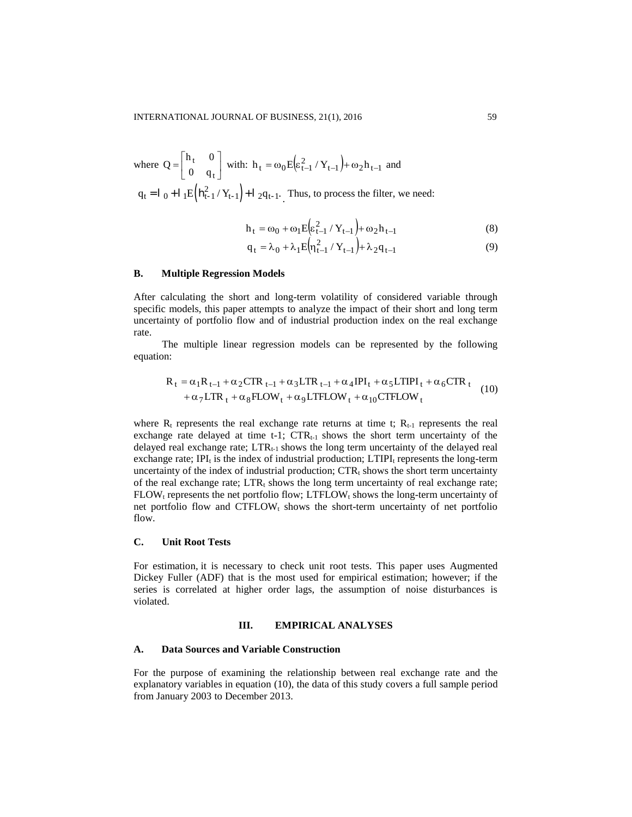where 
$$
Q = \begin{bmatrix} h_t & 0 \\ 0 & q_t \end{bmatrix}
$$
 with:  $h_t = \omega_0 E \left( \varepsilon_{t-1}^2 / Y_{t-1} \right) + \omega_2 h_{t-1}$  and  
\n $q_t = I_0 + I_1 E \left( h_{t-1}^2 / Y_{t-1} \right) + I_2 q_{t-1}$ . Thus, to process the filter, we need:

$$
h_t = \omega_0 + \omega_1 E \left( \varepsilon_{t-1}^2 / Y_{t-1} \right) + \omega_2 h_{t-1}
$$
 (8)

$$
q_{t} = \lambda_{0} + \lambda_{1} E \left( \eta_{t-1}^{2} / Y_{t-1} \right) + \lambda_{2} q_{t-1}
$$
 (9)

# **B. Multiple Regression Models**

After calculating the short and long-term volatility of considered variable through specific models, this paper attempts to analyze the impact of their short and long term uncertainty of portfolio flow and of industrial production index on the real exchange rate.

The multiple linear regression models can be represented by the following equation:

$$
R_{t} = \alpha_{1}R_{t-1} + \alpha_{2}CTR_{t-1} + \alpha_{3} LTR_{t-1} + \alpha_{4} IPI_{t} + \alpha_{5} LTIPI_{t} + \alpha_{6} CTR_{t}
$$
  
+  $\alpha_{7} LTR_{t} + \alpha_{8} FLOW_{t} + \alpha_{9} LTFLOW_{t} + \alpha_{10} CTFLOW_{t}$  (10)

where  $R_t$  represents the real exchange rate returns at time t;  $R_{t-1}$  represents the real exchange rate delayed at time t-1;  $CTR_{t-1}$  shows the short term uncertainty of the delayed real exchange rate; LTR<sub>t-1</sub> shows the long term uncertainty of the delayed real exchange rate; IPI $<sub>t</sub>$  is the index of industrial production; LTIPI $<sub>t</sub>$  represents the long-term</sub></sub> uncertainty of the index of industrial production;  $CTR_t$  shows the short term uncertainty of the real exchange rate;  $LTR_t$  shows the long term uncertainty of real exchange rate;  $FLOW_t$  represents the net portfolio flow;  $LTFLOW_t$  shows the long-term uncertainty of net portfolio flow and  $CTFLOW<sub>t</sub>$  shows the short-term uncertainty of net portfolio flow.

## **C. Unit Root Tests**

For estimation, it is necessary to check unit root tests. This paper uses Augmented Dickey Fuller (ADF) that is the most used for empirical estimation; however; if the series is correlated at higher order lags, the assumption of noise disturbances is violated.

#### **III. EMPIRICAL ANALYSES**

#### **A. Data Sources and Variable Construction**

For the purpose of examining the relationship between real exchange rate and the explanatory variables in equation (10), the data of this study covers a full sample period from January 2003 to December 2013.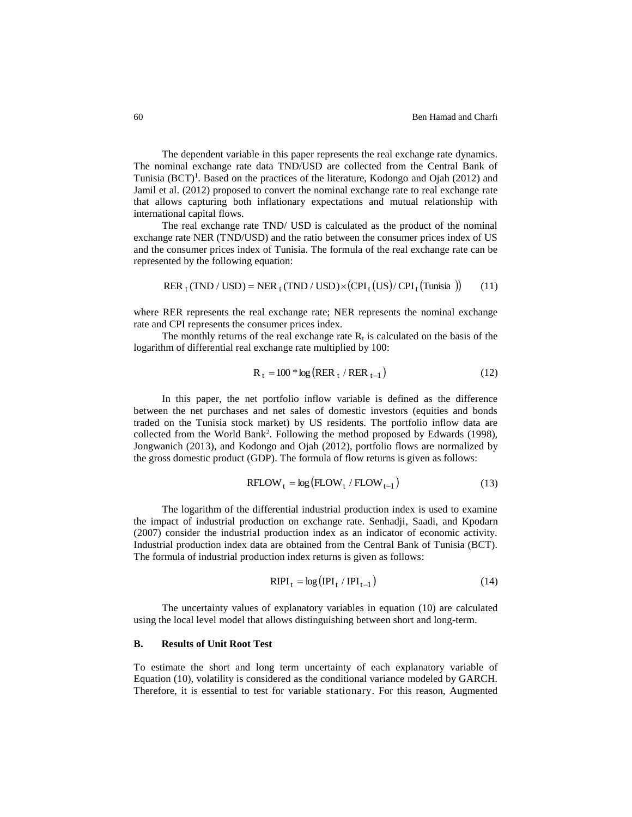The dependent variable in this paper represents the real exchange rate dynamics. The nominal exchange rate data TND/USD are collected from the Central Bank of Tunisia (BCT)<sup>1</sup>. Based on the practices of the literature, Kodongo and Ojah (2012) and Jamil et al. (2012) proposed to convert the nominal exchange rate to real exchange rate that allows capturing both inflationary expectations and mutual relationship with international capital flows.

The real exchange rate TND/ USD is calculated as the product of the nominal exchange rate NER (TND/USD) and the ratio between the consumer prices index of US and the consumer prices index of Tunisia. The formula of the real exchange rate can be represented by the following equation:

$$
RERt(TND / USD) = NERt(TND / USD) \times (CPIt(US) / CPIt(Tunisia))
$$
 (11)

where RER represents the real exchange rate; NER represents the nominal exchange rate and CPI represents the consumer prices index.

The monthly returns of the real exchange rate  $R_t$  is calculated on the basis of the logarithm of differential real exchange rate multiplied by 100:

$$
R_t = 100 * \log \left( RER_t / RER_{t-1} \right) \tag{12}
$$

In this paper, the net portfolio inflow variable is defined as the difference between the net purchases and net sales of domestic investors (equities and bonds traded on the Tunisia stock market) by US residents. The portfolio inflow data are collected from the World Bank<sup>2</sup>. Following the method proposed by Edwards (1998), Jongwanich (2013), and Kodongo and Ojah (2012), portfolio flows are normalized by the gross domestic product (GDP). The formula of flow returns is given as follows:

$$
RFLOW_t = \log (FLOW_t / FLOW_{t-1})
$$
\n(13)

The logarithm of the differential industrial production index is used to examine the impact of industrial production on exchange rate. Senhadji, Saadi, and Kpodarn (2007) consider the industrial production index as an indicator of economic activity. Industrial production index data are obtained from the Central Bank of Tunisia (BCT). The formula of industrial production index returns is given as follows:

$$
RIPI_t = \log (IPI_t / IPI_{t-1})
$$
\n(14)

The uncertainty values of explanatory variables in equation (10) are calculated using the local level model that allows distinguishing between short and long-term.

## **B. Results of Unit Root Test**

To estimate the short and long term uncertainty of each explanatory variable of Equation (10), volatility is considered as the conditional variance modeled by GARCH. Therefore, it is essential to test for variable stationary. For this reason, Augmented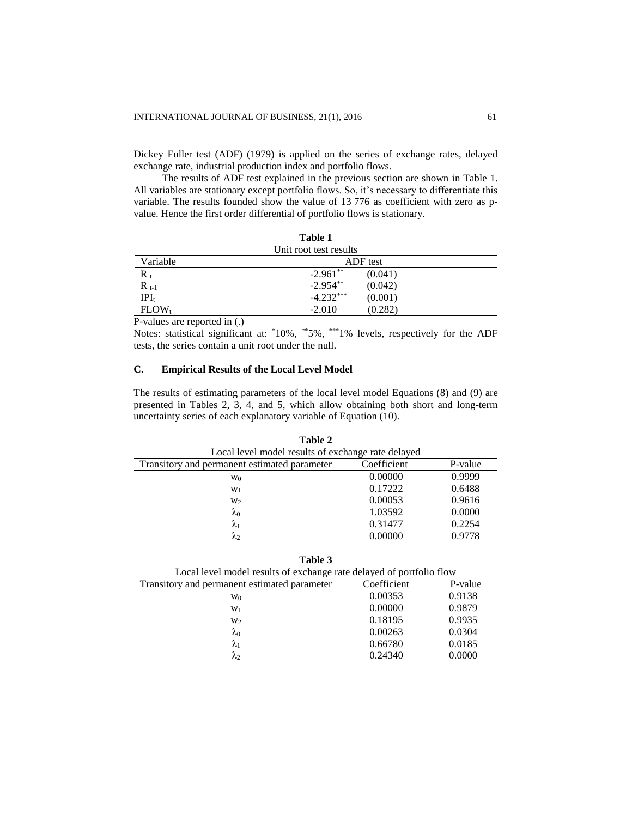Dickey Fuller test (ADF) (1979) is applied on the series of exchange rates, delayed exchange rate, industrial production index and portfolio flows.

The results of ADF test explained in the previous section are shown in Table 1. All variables are stationary except portfolio flows. So, it's necessary to differentiate this variable. The results founded show the value of 13 776 as coefficient with zero as pvalue. Hence the first order differential of portfolio flows is stationary.

|                        | Table 1     |         |
|------------------------|-------------|---------|
| Unit root test results |             |         |
| Variable               | ADF test    |         |
| $R_t$                  | $-2.961**$  | (0.041) |
| $R_{t-1}$              | $-2.954**$  | (0.042) |
| $[PI_{t}]$             | $-4.232***$ | (0.001) |
| $FLOW_t$               | $-2.010$    | (0.282) |

P-values are reported in (.)

Notes: statistical significant at: \*10%, \*\*5%, \*\*\*1% levels, respectively for the ADF tests, the series contain a unit root under the null.

# **C. Empirical Results of the Local Level Model**

The results of estimating parameters of the local level model Equations (8) and (9) are presented in Tables 2, 3, 4, and 5, which allow obtaining both short and long-term uncertainty series of each explanatory variable of Equation (10).

| Table 2                                            |             |         |  |
|----------------------------------------------------|-------------|---------|--|
| Local level model results of exchange rate delayed |             |         |  |
| Transitory and permanent estimated parameter       | Coefficient | P-value |  |
| W <sub>0</sub>                                     | 0.00000     | 0.9999  |  |
| $W_1$                                              | 0.17222     | 0.6488  |  |
| W <sub>2</sub>                                     | 0.00053     | 0.9616  |  |
| λο                                                 | 1.03592     | 0.0000  |  |
| $\lambda_1$                                        | 0.31477     | 0.2254  |  |
| $\mathcal{N}_{2}$                                  | 0.00000     | 0.9778  |  |

| ٠<br>۰,<br>٧<br>۰.<br>× |
|-------------------------|
|-------------------------|

| Local level model results of exchange rate delayed of portfolio flow |             |         |
|----------------------------------------------------------------------|-------------|---------|
| Transitory and permanent estimated parameter                         | Coefficient | P-value |
| W <sub>0</sub>                                                       | 0.00353     | 0.9138  |
| $W_1$                                                                | 0.00000     | 0.9879  |
| W <sub>2</sub>                                                       | 0.18195     | 0.9935  |
| $\lambda_0$                                                          | 0.00263     | 0.0304  |
| $\lambda_1$                                                          | 0.66780     | 0.0185  |
| Λ2                                                                   | 0.24340     | 0.0000  |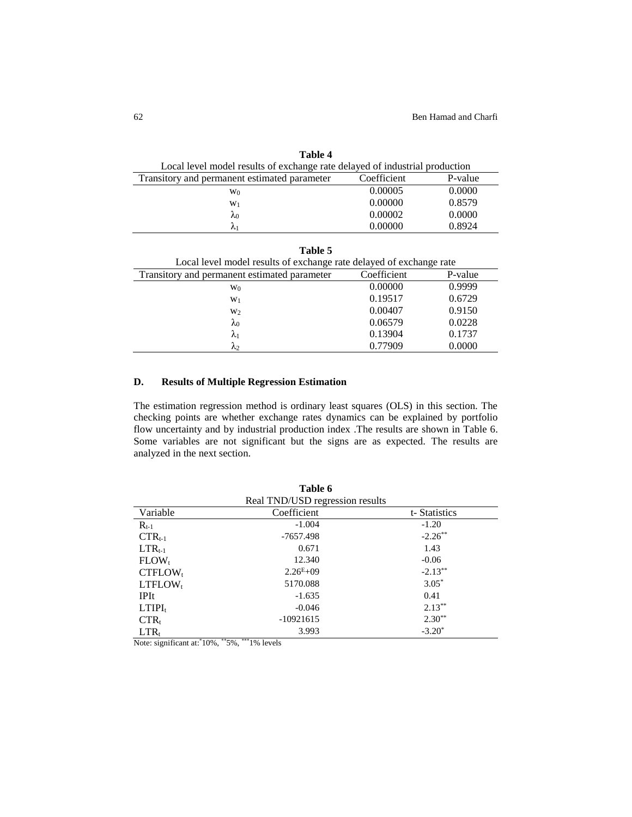| Table 4                                                                     |             |         |
|-----------------------------------------------------------------------------|-------------|---------|
| Local level model results of exchange rate delayed of industrial production |             |         |
| Transitory and permanent estimated parameter                                | Coefficient | P-value |
| W <sub>0</sub>                                                              | 0.00005     | 0.0000  |
| $W_1$                                                                       | 0.00000     | 0.8579  |
| $\lambda_0$                                                                 | 0.00002     | 0.0000  |
| $\mathcal{N}_1$                                                             | 0.00000     | 0.8924  |

| Table 5                                                             |             |         |  |
|---------------------------------------------------------------------|-------------|---------|--|
| Local level model results of exchange rate delayed of exchange rate |             |         |  |
| Transitory and permanent estimated parameter                        | Coefficient | P-value |  |
| W <sub>0</sub>                                                      | 0.00000     | 0.9999  |  |
| $W_1$                                                               | 0.19517     | 0.6729  |  |
| W <sub>2</sub>                                                      | 0.00407     | 0.9150  |  |
| $\lambda_0$                                                         | 0.06579     | 0.0228  |  |
| $\lambda_1$                                                         | 0.13904     | 0.1737  |  |
| $\lambda_2$                                                         | 0.77909     | 0.0000  |  |

# **D. Results of Multiple Regression Estimation**

The estimation regression method is ordinary least squares (OLS) in this section. The checking points are whether exchange rates dynamics can be explained by portfolio flow uncertainty and by industrial production index .The results are shown in Table 6. Some variables are not significant but the signs are as expected. The results are analyzed in the next section.

|                                 | Table 6       |              |  |  |
|---------------------------------|---------------|--------------|--|--|
| Real TND/USD regression results |               |              |  |  |
| Variable                        | Coefficient   | t-Statistics |  |  |
| $R_{t-1}$                       | $-1.004$      | $-1.20$      |  |  |
| $CTR_{t-1}$                     | $-7657.498$   | $-2.26$ **   |  |  |
| $LTR_{t-1}$                     | 0.671         | 1.43         |  |  |
| $FLOW_t$                        | 12.340        | $-0.06$      |  |  |
| $CTFLOW_t$                      | $2.26^{E}+09$ | $-2.13***$   |  |  |
| $LTFLOW_t$                      | 5170.088      | $3.05*$      |  |  |
| <b>IPIt</b>                     | $-1.635$      | 0.41         |  |  |
| $LTIPI_t$                       | $-0.046$      | $2.13***$    |  |  |
| $CTR_t$                         | $-10921615$   | $2.30**$     |  |  |
| $LTR_t$                         | 3.993         | $-3.20^*$    |  |  |

Note: significant at:\*10%, \*\*5%, \*\*\*1% levels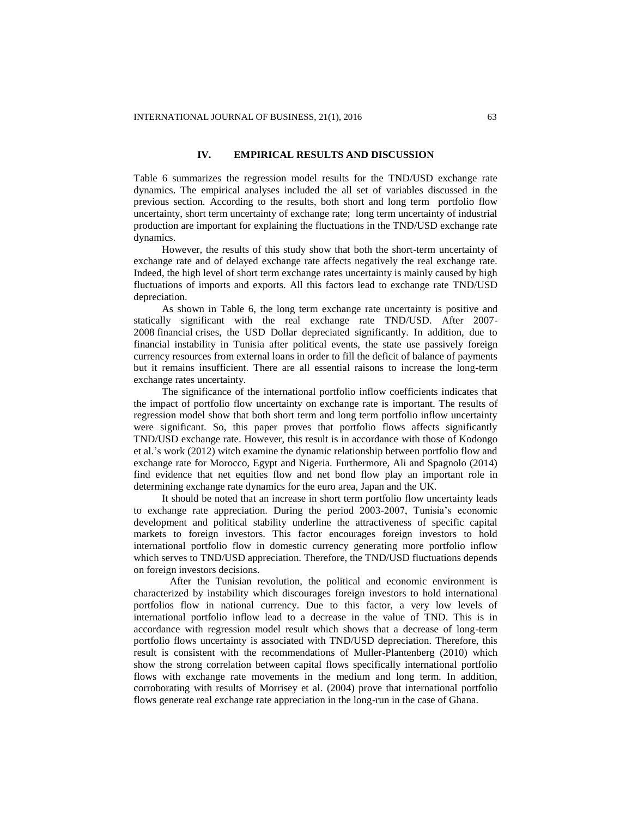# **IV. EMPIRICAL RESULTS AND DISCUSSION**

Table 6 summarizes the regression model results for the TND/USD exchange rate dynamics. The empirical analyses included the all set of variables discussed in the previous section. According to the results, both short and long term portfolio flow uncertainty, short term uncertainty of exchange rate; long term uncertainty of industrial production are important for explaining the fluctuations in the TND/USD exchange rate dynamics.

However, the results of this study show that both the short-term uncertainty of exchange rate and of delayed exchange rate affects negatively the real exchange rate. Indeed, the high level of short term exchange rates uncertainty is mainly caused by high fluctuations of imports and exports. All this factors lead to exchange rate TND/USD depreciation.

As shown in Table 6, the long term exchange rate uncertainty is positive and statically significant with the real exchange rate TND/USD. After 2007- 2008 financial crises, the USD Dollar depreciated significantly. In addition, due to financial instability in Tunisia after political events, the state use passively foreign currency resources from external loans in order to fill the deficit of balance of payments but it remains insufficient. There are all essential raisons to increase the long-term exchange rates uncertainty.

The significance of the international portfolio inflow coefficients indicates that the impact of portfolio flow uncertainty on exchange rate is important. The results of regression model show that both short term and long term portfolio inflow uncertainty were significant. So, this paper proves that portfolio flows affects significantly TND/USD exchange rate. However, this result is in accordance with those of Kodongo et al.'s work (2012) witch examine the dynamic relationship between portfolio flow and exchange rate for Morocco, Egypt and Nigeria. Furthermore, Ali and Spagnolo (2014) find evidence that net equities flow and net bond flow play an important role in determining exchange rate dynamics for the euro area, Japan and the UK.

It should be noted that an increase in short term portfolio flow uncertainty leads to exchange rate appreciation. During the period 2003-2007, Tunisia's economic development and political stability underline the attractiveness of specific capital markets to foreign investors. This factor encourages foreign investors to hold international portfolio flow in domestic currency generating more portfolio inflow which serves to TND/USD appreciation. Therefore, the TND/USD fluctuations depends on foreign investors decisions.

 After the Tunisian revolution, the political and economic environment is characterized by instability which discourages foreign investors to hold international portfolios flow in national currency. Due to this factor, a very low levels of international portfolio inflow lead to a decrease in the value of TND. This is in accordance with regression model result which shows that a decrease of long-term portfolio flows uncertainty is associated with TND/USD depreciation. Therefore, this result is consistent with the recommendations of Muller-Plantenberg (2010) which show the strong correlation between capital flows specifically international portfolio flows with exchange rate movements in the medium and long term. In addition, corroborating with results of Morrisey et al. (2004) prove that international portfolio flows generate real exchange rate appreciation in the long-run in the case of Ghana.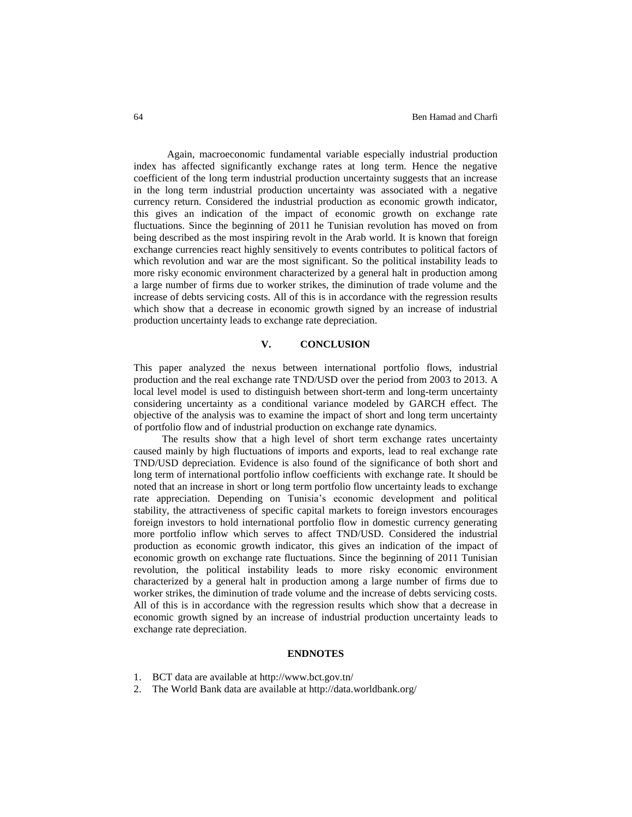Again, macroeconomic fundamental variable especially industrial production index has affected significantly exchange rates at long term. Hence the negative coefficient of the long term industrial production uncertainty suggests that an increase in the long term industrial production uncertainty was associated with a negative currency return. Considered the industrial production as economic growth indicator, this gives an indication of the impact of economic growth on exchange rate fluctuations. Since the beginning of 2011 he Tunisian revolution has moved on from being described as the most inspiring revolt in the Arab world. It is known that foreign exchange currencies react highly sensitively to events contributes to political factors of which revolution and war are the most significant. So the political instability leads to more risky economic environment characterized by a general halt in production among a large number of firms due to worker strikes, the diminution of trade volume and the increase of debts servicing costs. All of this is in accordance with the regression results which show that a decrease in economic growth signed by an increase of industrial production uncertainty leads to exchange rate depreciation.

#### **V. CONCLUSION**

This paper analyzed the nexus between international portfolio flows, industrial production and the real exchange rate TND/USD over the period from 2003 to 2013. A local level model is used to distinguish between short-term and long-term uncertainty considering uncertainty as a conditional variance modeled by GARCH effect. The objective of the analysis was to examine the impact of short and long term uncertainty of portfolio flow and of industrial production on exchange rate dynamics.

The results show that a high level of short term exchange rates uncertainty caused mainly by high fluctuations of imports and exports, lead to real exchange rate TND/USD depreciation. Evidence is also found of the significance of both short and long term of international portfolio inflow coefficients with exchange rate. It should be noted that an increase in short or long term portfolio flow uncertainty leads to exchange rate appreciation. Depending on Tunisia's economic development and political stability, the attractiveness of specific capital markets to foreign investors encourages foreign investors to hold international portfolio flow in domestic currency generating more portfolio inflow which serves to affect TND/USD. Considered the industrial production as economic growth indicator, this gives an indication of the impact of economic growth on exchange rate fluctuations. Since the beginning of 2011 Tunisian revolution, the political instability leads to more risky economic environment characterized by a general halt in production among a large number of firms due to worker strikes, the diminution of trade volume and the increase of debts servicing costs. All of this is in accordance with the regression results which show that a decrease in economic growth signed by an increase of industrial production uncertainty leads to exchange rate depreciation.

### **ENDNOTES**

- 1. BCT data are available at <http://www.bct.gov.tn/>
- 2. The World Bank data are available at <http://data.worldbank.org/>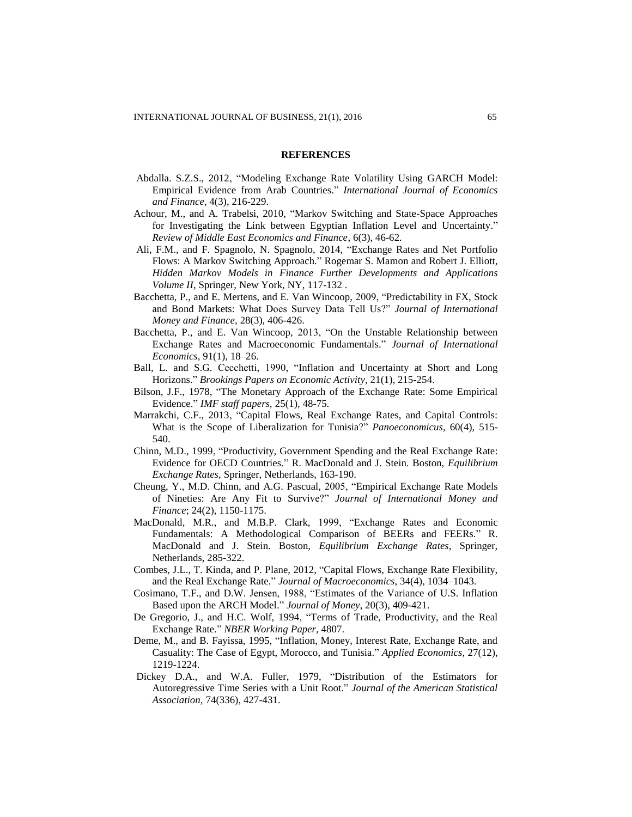#### **REFERENCES**

- Abdalla. S.Z.S., 2012, "Modeling Exchange Rate Volatility Using GARCH Model: Empirical Evidence from Arab Countries." *International Journal of Economics and Finance*, 4(3), 216-229.
- Achour, M., and A. Trabelsi, 2010, "Markov Switching and State-Space Approaches for Investigating the Link between Egyptian Inflation Level and Uncertainty." *Review of Middle East Economics and Finance*, 6(3), 46-62.
- Ali, F.M., and F. Spagnolo, N. Spagnolo, 2014, "Exchange Rates and Net Portfolio Flows: A Markov Switching Approach." Rogemar S. Mamon and Robert J. Elliott, *Hidden Markov Models in Finance Further Developments and Applications Volume II*, Springer, New York, NY, 117-132 .
- Bacchetta, P., and E. Mertens, and E. Van Wincoop, 2009, "Predictability in FX, Stock and Bond Markets: What Does Survey Data Tell Us?" *[Journal of International](http://www.researchgate.net/journal/0261-5606_Journal_of_International_Money_and_Finance)  [Money and Finance](http://www.researchgate.net/journal/0261-5606_Journal_of_International_Money_and_Finance)*, 28(3), 406-426.
- Bacchetta, P., and E. Van Wincoop, 2013, "On the Unstable Relationship between Exchange Rates and Macroeconomic Fundamentals." *Journal of [International](http://www.sciencedirect.com/science/journal/00221996) [Economics](http://www.sciencedirect.com/science/journal/00221996)*[, 91\(1\)](http://www.sciencedirect.com/science/journal/00221996/91/1), 18–26.
- Ball, L. and S.G. Cecchetti, 1990, "Inflation and Uncertainty at Short and Long Horizons." *Brookings Papers on Economic Activity,* 21(1), 215-254.
- Bilson, J.F., 1978, "The Monetary Approach of the Exchange Rate: Some Empirical Evidence." *IMF staff papers,* 25(1), 48-75.
- Marrakchi, C.F., 2013, "Capital Flows, Real Exchange Rates, and Capital Controls: What is the Scope of Liberalization for Tunisia?" *Panoeconomicus*, 60(4), 515- 540.
- Chinn, M.D., 1999, "Productivity, Government Spending and the Real Exchange Rate: Evidence for OECD Countries." R. MacDonald and J. Stein. Boston, *Equilibrium Exchange Rates*, Springer, Netherlands, 163-190.
- Cheung, Y., M.D. Chinn, and A.G. Pascual, 2005, "Empirical Exchange Rate Models of Nineties: Are Any Fit to Survive?" *Journal of International Money and Finance*; 24(2), 1150-1175.
- MacDonald, M.R., and M.B.P. Clark, 1999, "Exchange Rates and Economic Fundamentals: A Methodological Comparison of BEERs and FEERs." R. MacDonald and J. Stein. Boston, *Equilibrium Exchange Rates*, Springer, Netherlands, 285-322.
- Combes, J.L., T. Kinda, and P. Plane, 2012, "Capital Flows, Exchange Rate Flexibility, and the Real Exchange Rate." *Journal of Macroeconomics*, 34(4), 1034–1043.
- Cosimano, T.F., and D.W. Jensen, 1988, "Estimates of the Variance of U.S. Inflation Based upon the ARCH Model." *Journal of Money*, 20(3), 409-421.
- De Gregorio, J., and H.C. Wolf, 1994, "Terms of Trade, Productivity, and the Real Exchange Rate." *NBER Working Paper,* 4807.
- Deme, M., and B. Fayissa, 1995, "Inflation, Money, Interest Rate, Exchange Rate, and Casuality: The Case of Egypt, Morocco, and Tunisia." *Applied Economics*, [27](http://www.tandfonline.com/loi/raec20?open=27#vol_27)[\(12\)](http://www.tandfonline.com/toc/raec20/27/12), 1219-1224.
- Dickey D.A., and W.A. Fuller, 1979, "Distribution of the Estimators for Autoregressive Time Series with a Unit Root." *Journal of the American Statistical Association*, 74(336), 427-431.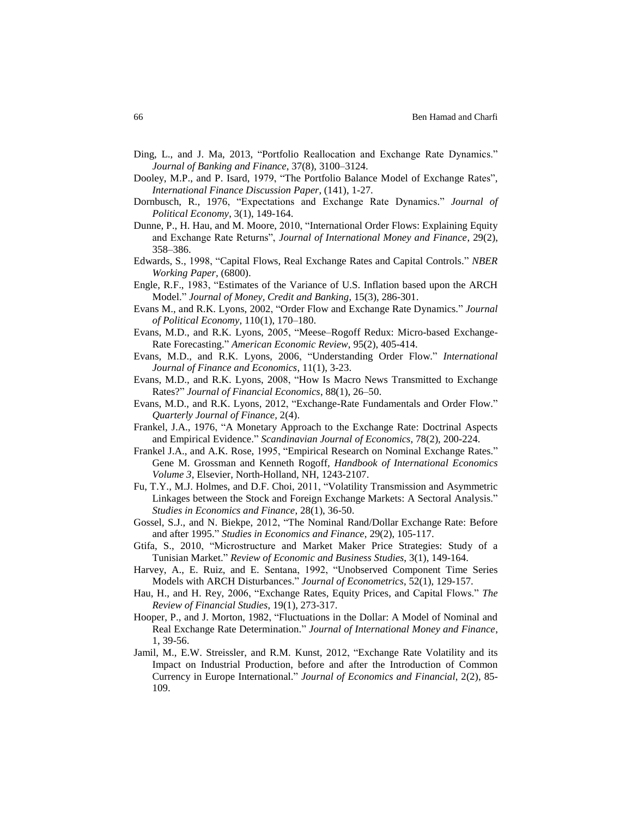- Ding, L., and J. Ma, 2013, "Portfolio Reallocation and Exchange Rate Dynamics." *Journal of Banking and Finance*, 37(8), 3100–3124.
- Dooley, M.P., and P. Isard, 1979, "The Portfolio Balance Model of Exchange Rates", *International Finance Discussion Paper*, (141), 1-27.
- Dornbusch, R., 1976, "Expectations and Exchange Rate Dynamics." *Journal of Political Economy*, 3(1), 149-164.
- Dunne, P., H. Hau, and M. Moore, 2010, "International Order Flows: Explaining Equity and Exchange Rate Returns", *Journal of International Money and Finance*, 29(2), 358–386.
- Edwards, S., 1998, "Capital Flows, Real Exchange Rates and Capital Controls." *NBER Working Paper,* (6800).
- Engle, R.F., 1983, "Estimates of the Variance of U.S. Inflation based upon the ARCH Model." *Journal of Money, Credit and Banking*, 15(3), 286-301.
- Evans M., and R.K. Lyons, 2002, "Order Flow and Exchange Rate Dynamics." *Journal of Political Economy*, 110(1), 170–180.
- Evans, M.D., and R.K. Lyons, 2005, "Meese–Rogoff Redux: Micro-based Exchange-Rate Forecasting." *American Economic Review*, 95(2), 405-414.
- Evans, M.D., and R.K. Lyons, 2006, "Understanding Order Flow." *International Journal of Finance and Economics*, 11(1), 3-23.
- Evans, M.D., and R.K. Lyons, 2008, "How Is Macro News Transmitted to Exchange Rates?" *Journal of Financial Economics*, 88(1), 26–50.
- Evans, M.D., and R.K. Lyons, 2012, "Exchange-Rate Fundamentals and Order Flow." *Quarterly Journal of Finance,* 2(4).
- Frankel, J.A., 1976, "A Monetary Approach to the Exchange Rate: Doctrinal Aspects and Empirical Evidence." *Scandinavian Journal of Economics*, 78(2), 200-224.
- Frankel J.A., and A.K. Rose, 1995, "Empirical Research on Nominal Exchange Rates." Gene M. Grossman and Kenneth Rogoff*, Handbook of International Economics Volume 3*, Elsevier, North-Holland, NH, 1243-2107.
- Fu, T.Y., M.J. Holmes, and D.F. Choi, 2011, ["Volatility Transmission and Asymmetric](http://www.emeraldinsight.com/doi/full/10.1108/10867371111110543)  Linkages [between the Stock and Foreign](http://www.emeraldinsight.com/doi/full/10.1108/10867371111110543) Exchange Markets: A Sectoral Analysis." *[Studies in Economics and Finance](http://www.emeraldinsight.com/loi/sef)*, 2[8\(1\)](http://www.emeraldinsight.com/toc/sef/28/1), 36-50.
- Gossel, S.J., and N. Biekpe, 2012, ["The Nominal Rand/Dollar](http://www.emeraldinsight.com/doi/full/10.1108/10867371211229127) Exchange Rate: Before [and after](http://www.emeraldinsight.com/doi/full/10.1108/10867371211229127) 1995." *[Studies in Economics and Finance](http://www.emeraldinsight.com/loi/sef)*, 2[9\(2\)](http://www.emeraldinsight.com/toc/sef/29/2), 105-117.
- Gtifa, S., 2010, "Microstructure and Market Maker Price Strategies: Study of a Tunisian Market." *Review of Economic and Business Studies*, 3(1), 149-164.
- Harvey, A., E. Ruiz, and E. Sentana, 1992, "Unobserved Component Time Series Models with ARCH Disturbances." *Journal of Econometrics*, 52(1), 129-157.
- Hau, H., and H. Rey, 2006, "Exchange Rates, Equity Prices, and Capital Flows." *The Review of Financial Studies*, 19(1), 273-317.
- Hooper, P., and J. Morton, 1982, "Fluctuations in the Dollar: A Model of Nominal and Real Exchange Rate Determination." *Journal of International Money and Finance*, 1, 39-56.
- Jamil, M., E.W. Streissler, and R.M. Kunst, 2012, "Exchange Rate Volatility and its Impact on Industrial Production, before and after the Introduction of Common Currency in Europe International." *Journal of Economics and Financial*, 2(2), 85- 109.